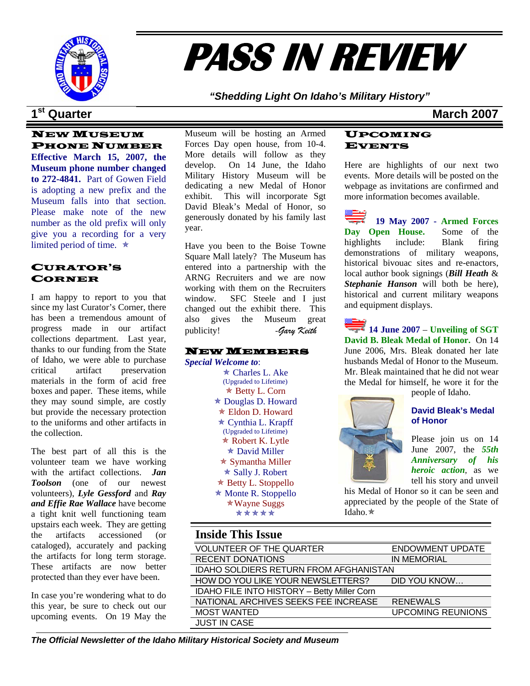

# **PASS IN REVIEW**

*"Shedding Light On Idaho's Military History"* 

### **1st Quarter March 2007**

### NEW MUSEUM PHONE NUMBER

**Effective March 15, 2007, the Museum phone number changed to 272-4841.** Part of Gowen Field is adopting a new prefix and the Museum falls into that section. Please make note of the new number as the old prefix will only give you a recording for a very limited period of time.  $\star$ 

### CURATOR'S CORNER

I am happy to report to you that since my last Curator's Corner, there has been a tremendous amount of progress made in our artifact collections department. Last year, thanks to our funding from the State of Idaho, we were able to purchase critical artifact preservation materials in the form of acid free boxes and paper. These items, while they may sound simple, are costly but provide the necessary protection to the uniforms and other artifacts in the collection.

The best part of all this is the volunteer team we have working with the artifact collections. *Jan Toolson* (one of our newest volunteers), *Lyle Gessford* and *Ray and Effie Rae Wallace* have become a tight knit well functioning team upstairs each week. They are getting the artifacts accessioned (or cataloged), accurately and packing the artifacts for long term storage. These artifacts are now better protected than they ever have been.

In case you're wondering what to do this year, be sure to check out our upcoming events. On 19 May the

Museum will be hosting an Armed Forces Day open house, from 10-4. More details will follow as they develop. On 14 June, the Idaho Military History Museum will be dedicating a new Medal of Honor exhibit. This will incorporate Sgt David Bleak's Medal of Honor, so generously donated by his family last year.

Have you been to the Boise Towne Square Mall lately? The Museum has entered into a partnership with the ARNG Recruiters and we are now working with them on the Recruiters window. SFC Steele and I just changed out the exhibit there. This also gives the Museum great publicity! -*Gary Keith* 

### NEW MEMBERS

*Special Welcome to*:  $\star$  Charles L. Ake

(Upgraded to Lifetime)  $\star$  Betty L. Corn  $\star$  Douglas D. Howard  $*$  Eldon D. Howard  $\star$  Cynthia L. Krapff (Upgraded to Lifetime)  $*$  Robert K. Lytle  $\star$  David Miller  $\star$  Symantha Miller  $\star$  Sally J. Robert  $\star$  Betty L. Stoppello  $*$  Monte R. Stoppello  $*$  Wayne Suggs \*\*\*\*\*

### UPCOMING EVENTS

Here are highlights of our next two events. More details will be posted on the webpage as invitations are confirmed and more information becomes available.

**19 May 2007 - Armed Forces Day Open House.** Some of the highlights include: Blank firing demonstrations of military weapons, historical bivouac sites and re-enactors, local author book signings (*Bill Heath* & *Stephanie Hanson* will both be here), historical and current military weapons and equipment displays.

**14 June 2007** – **Unveiling of SGT David B. Bleak Medal of Honor.** On 14 June 2006, Mrs. Bleak donated her late husbands Medal of Honor to the Museum. Mr. Bleak maintained that he did not wear the Medal for himself, he wore it for the

people of Idaho.

### **David Bleak's Medal of Honor**

Please join us on 14 June 2007, the *55th Anniversary of his heroic action*, as we tell his story and unveil

his Medal of Honor so it can be seen and appreciated by the people of the State of Idaho. $\star$ 

### **Inside This Issue**

| <b>VOLUNTEER OF THE QUARTER</b>               | <b>ENDOWMENT UPDATE</b>  |  |
|-----------------------------------------------|--------------------------|--|
| <b>RECENT DONATIONS</b>                       | <b>IN MEMORIAL</b>       |  |
| <b>IDAHO SOLDIERS RETURN FROM AFGHANISTAN</b> |                          |  |
| HOW DO YOU LIKE YOUR NEWSLETTERS?             | DID YOU KNOW             |  |
| IDAHO FILE INTO HISTORY - Betty Miller Corn   |                          |  |
| NATIONAL ARCHIVES SEEKS FEE INCREASE          | <b>RENEWALS</b>          |  |
| <b>MOST WANTED</b>                            | <b>UPCOMING REUNIONS</b> |  |
| <b>JUST IN CASE</b>                           |                          |  |

*The Official Newsletter of the Idaho Military Historical Society and Museum*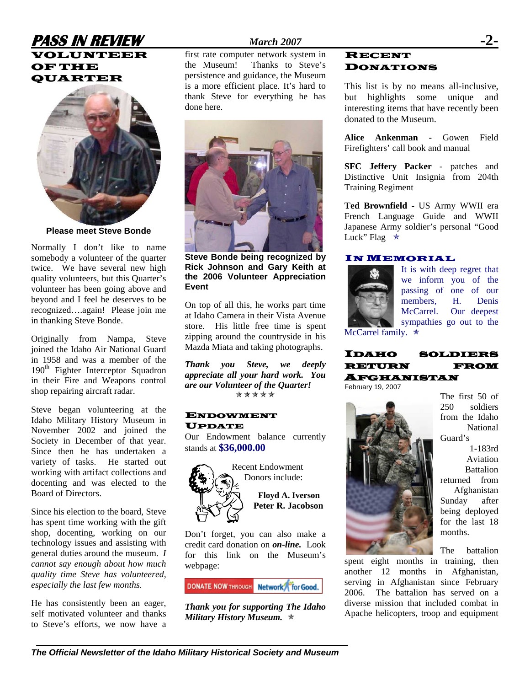### **PASS IN REVIEW** *March 2007* **-2-**  VOLUNTEER OF THE QUARTER



**Please meet Steve Bonde** 

Normally I don't like to name somebody a volunteer of the quarter twice. We have several new high quality volunteers, but this Quarter's volunteer has been going above and beyond and I feel he deserves to be recognized….again! Please join me in thanking Steve Bonde.

Originally from Nampa, Steve joined the Idaho Air National Guard in 1958 and was a member of the 190<sup>th</sup> Fighter Interceptor Squadron in their Fire and Weapons control shop repairing aircraft radar.

Steve began volunteering at the Idaho Military History Museum in November 2002 and joined the Society in December of that year. Since then he has undertaken a variety of tasks. He started out working with artifact collections and docenting and was elected to the Board of Directors.

Since his election to the board, Steve has spent time working with the gift shop, docenting, working on our technology issues and assisting with general duties around the museum. *I cannot say enough about how much quality time Steve has volunteered, especially the last few months.* 

He has consistently been an eager, self motivated volunteer and thanks to Steve's efforts, we now have a

first rate computer network system in the Museum! Thanks to Steve's persistence and guidance, the Museum is a more efficient place. It's hard to thank Steve for everything he has done here.



**Steve Bonde being recognized by Rick Johnson and Gary Keith at the 2006 Volunteer Appreciation Event** 

On top of all this, he works part time at Idaho Camera in their Vista Avenue store. His little free time is spent zipping around the countryside in his Mazda Miata and taking photographs.

*Thank you Steve, we deeply appreciate all your hard work. You are our Volunteer of the Quarter!*   $******$ 

### ENDOWMENT UPDATE

Our Endowment balance currently stands at **\$36,000.00**



Donors include: **Floyd A. Iverson Peter R. Jacobson** 

Don't forget, you can also make a credit card donation on *on-line.* Look for this link on the Museum's webpage:

**DONATE NOW THROUGH Network for Good.** 

*Thank you for supporting The Idaho Military History Museum.*  $\ast$ 

### RECENT DONATIONS

This list is by no means all-inclusive, but highlights some unique and interesting items that have recently been donated to the Museum.

**Alice Ankenman** - Gowen Field Firefighters' call book and manual

**SFC Jeffery Packer** - patches and Distinctive Unit Insignia from 204th Training Regiment

**Ted Brownfield** - US Army WWII era French Language Guide and WWII Japanese Army soldier's personal "Good Luck" Flag  $\star$ 

### IN MEMORIAL



It is with deep regret that we inform you of the passing of one of our members, H. Denis McCarrel. Our deepest sympathies go out to the

McCarrel family.  $\star$ 

### IDAHO SOLDIERS RETURN FROM AFGHANISTAN

February 19, 2007



The first 50 of 250 soldiers from the Idaho National Guard's

1-183rd Aviation **Battalion** returned from Afghanistan Sunday after being deployed for the last 18 months.

The battalion

spent eight months in training, then another 12 months in Afghanistan, serving in Afghanistan since February 2006. The battalion has served on a diverse mission that included combat in Apache helicopters, troop and equipment

*The Official Newsletter of the Idaho Military Historical Society and Museum*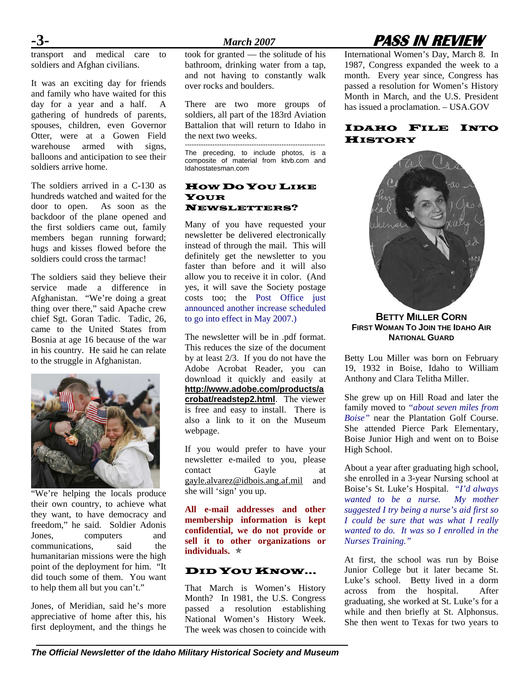transport and medical care to soldiers and Afghan civilians.

It was an exciting day for friends and family who have waited for this day for a year and a half. A gathering of hundreds of parents, spouses, children, even Governor Otter, were at a Gowen Field warehouse armed with signs, balloons and anticipation to see their soldiers arrive home.

The soldiers arrived in a C-130 as hundreds watched and waited for the door to open. As soon as the backdoor of the plane opened and the first soldiers came out, family members began running forward; hugs and kisses flowed before the soldiers could cross the tarmac!

The soldiers said they believe their service made a difference in Afghanistan. "We're doing a great thing over there," said Apache crew chief Sgt. Goran Tadic. Tadic, 26, came to the United States from Bosnia at age 16 because of the war in his country. He said he can relate to the struggle in Afghanistan.



"We're helping the locals produce their own country, to achieve what they want, to have democracy and freedom," he said. Soldier Adonis Jones, computers and communications, said the humanitarian missions were the high point of the deployment for him. "It did touch some of them. You want to help them all but you can't."

Jones, of Meridian, said he's more appreciative of home after this, his first deployment, and the things he took for granted — the solitude of his bathroom, drinking water from a tap, and not having to constantly walk over rocks and boulders.

There are two more groups of soldiers, all part of the 183rd Aviation Battalion that will return to Idaho in the next two weeks.

------------------------------------------------------------- The preceding, to include photos, is a composite of material from ktvb.com and Idahostatesman.com

### HOW DO YOU LIKE YOUR NEWSLETTERS?

Many of you have requested your newsletter be delivered electronically instead of through the mail. This will definitely get the newsletter to you faster than before and it will also allow you to receive it in color. (And yes, it will save the Society postage costs too; the Post Office just announced another increase scheduled to go into effect in May 2007.)

The newsletter will be in .pdf format. This reduces the size of the document by at least 2/3. If you do not have the Adobe Acrobat Reader, you can download it quickly and easily at **[http://www.adobe.com/products/a](http://www.adobe.com/products/acrobat/readstep2.html) [crobat/readstep2.html](http://www.adobe.com/products/acrobat/readstep2.html)**. The viewer is free and easy to install. There is also a link to it on the Museum webpage.

If you would prefer to have your newsletter e-mailed to you, please contact Gayle at [gayle.alvarez@idbois.ang.af.mil](mailto:gayle.alvarez@idbois.ang.af.mil) and she will 'sign' you up.

**All e-mail addresses and other membership information is kept confidential, we do not provide or sell it to other organizations or individuals.**  $*$ 

### DID YOU KNOW...

That March is Women's History Month? In 1981, the U.S. Congress passed a resolution establishing National Women's History Week. The week was chosen to coincide with

## **-3-** *March 2007* **PASS IN REVIEW**

International Women's Day, March 8. In 1987, Congress expanded the week to a month. Every year since, Congress has passed a resolution for Women's History Month in March, and the U.S. President has issued a proclamation. – USA.GOV

### IDAHO FILE INTO **HISTORY**



**BETTY MILLER CORN FIRST WOMAN TO JOIN THE IDAHO AIR NATIONAL GUARD**

Betty Lou Miller was born on February 19, 1932 in Boise, Idaho to William Anthony and Clara Telitha Miller.

She grew up on Hill Road and later the family moved to *"about seven miles from Boise"* near the Plantation Golf Course. She attended Pierce Park Elementary, Boise Junior High and went on to Boise High School.

About a year after graduating high school, she enrolled in a 3-year Nursing school at Boise's St. Luke's Hospital. *"I'd always wanted to be a nurse. My mother suggested I try being a nurse's aid first so I could be sure that was what I really wanted to do. It was so I enrolled in the Nurses Training."* 

At first, the school was run by Boise Junior College but it later became St. Luke's school. Betty lived in a dorm across from the hospital. After graduating, she worked at St. Luke's for a while and then briefly at St. Alphonsus. She then went to Texas for two years to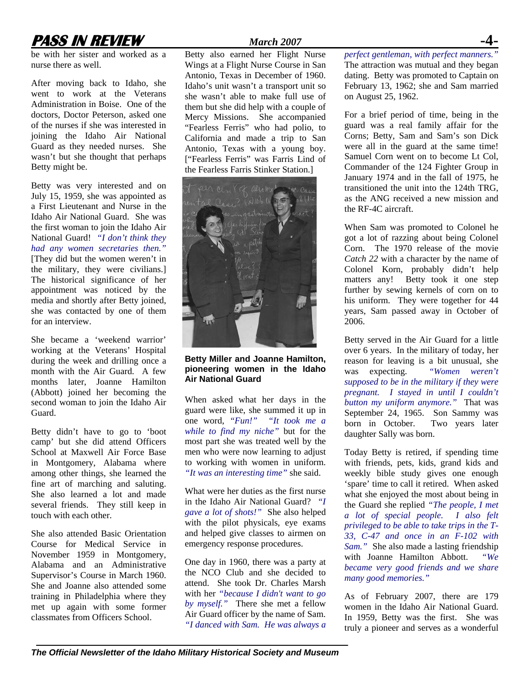# **PASS IN REVIEW** *March 2007*

be with her sister and worked as a nurse there as well.

After moving back to Idaho, she went to work at the Veterans Administration in Boise. One of the doctors, Doctor Peterson, asked one of the nurses if she was interested in joining the Idaho Air National Guard as they needed nurses. She wasn't but she thought that perhaps Betty might be.

Betty was very interested and on July 15, 1959, she was appointed as a First Lieutenant and Nurse in the Idaho Air National Guard. She was the first woman to join the Idaho Air National Guard! *"I don't think they had any women secretaries then."* [They did but the women weren't in the military, they were civilians.] The historical significance of her appointment was noticed by the media and shortly after Betty joined, she was contacted by one of them for an interview.

She became a 'weekend warrior' working at the Veterans' Hospital during the week and drilling once a month with the Air Guard. A few months later, Joanne Hamilton (Abbott) joined her becoming the second woman to join the Idaho Air Guard.

Betty didn't have to go to 'boot camp' but she did attend Officers School at Maxwell Air Force Base in Montgomery, Alabama where among other things, she learned the fine art of marching and saluting. She also learned a lot and made several friends. They still keep in touch with each other.

She also attended Basic Orientation Course for Medical Service in November 1959 in Montgomery, Alabama and an Administrative Supervisor's Course in March 1960. She and Joanne also attended some training in Philadelphia where they met up again with some former classmates from Officers School.

Betty also earned her Flight Nurse Wings at a Flight Nurse Course in San Antonio, Texas in December of 1960. Idaho's unit wasn't a transport unit so she wasn't able to make full use of them but she did help with a couple of Mercy Missions. She accompanied "Fearless Ferris" who had polio, to California and made a trip to San Antonio, Texas with a young boy. ["Fearless Ferris" was Farris Lind of the Fearless Farris Stinker Station.]



**Betty Miller and Joanne Hamilton, pioneering women in the Idaho Air National Guard** 

When asked what her days in the guard were like, she summed it up in one word, *"Fun!" "It took me a while to find my niche"* but for the most part she was treated well by the men who were now learning to adjust to working with women in uniform. *"It was an interesting time"* she said.

What were her duties as the first nurse in the Idaho Air National Guard? *"I gave a lot of shots!"* She also helped with the pilot physicals, eye exams and helped give classes to airmen on emergency response procedures.

One day in 1960, there was a party at the NCO Club and she decided to attend. She took Dr. Charles Marsh with her *"because I didn't want to go by myself."* There she met a fellow Air Guard officer by the name of Sam. *"I danced with Sam. He was always a*  *perfect gentleman, with perfect manners."*  The attraction was mutual and they began dating. Betty was promoted to Captain on February 13, 1962; she and Sam married on August 25, 1962.

For a brief period of time, being in the guard was a real family affair for the Corns; Betty, Sam and Sam's son Dick were all in the guard at the same time! Samuel Corn went on to become Lt Col, Commander of the 124 Fighter Group in January 1974 and in the fall of 1975, he transitioned the unit into the 124th TRG, as the ANG received a new mission and the RF-4C aircraft.

When Sam was promoted to Colonel he got a lot of razzing about being Colonel Corn. The 1970 release of the movie *Catch 22* with a character by the name of Colonel Korn, probably didn't help matters any! Betty took it one step further by sewing kernels of corn on to his uniform. They were together for 44 years, Sam passed away in October of 2006.

Betty served in the Air Guard for a little over 6 years. In the military of today, her reason for leaving is a bit unusual, she was expecting. *"Women weren't supposed to be in the military if they were pregnant. I stayed in until I couldn't button my uniform anymore."* That was September 24, 1965. Son Sammy was born in October. Two years later daughter Sally was born.

Today Betty is retired, if spending time with friends, pets, kids, grand kids and weekly bible study gives one enough 'spare' time to call it retired. When asked what she enjoyed the most about being in the Guard she replied *"The people, I met a lot of special people. I also felt privileged to be able to take trips in the T-33, C-47 and once in an F-102 with Sam."* She also made a lasting friendship with Joanne Hamilton Abbott. *"We became very good friends and we share many good memories."* 

As of February 2007, there are 179 women in the Idaho Air National Guard. In 1959, Betty was the first. She was truly a pioneer and serves as a wonderful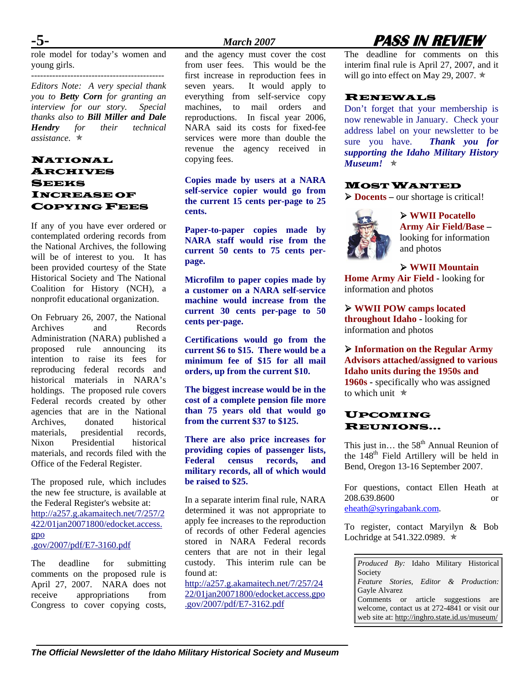role model for today's women and young girls.

*Editors Note: A very special thank you to Betty Corn for granting an interview for our story. Special thanks also to Bill Miller and Dale Hendry for their technical assistance.* Õ

### NATIONAL ARCHIVES **SEEKS** INCREASE OF COPYING FEES

If any of you have ever ordered or contemplated ordering records from the National Archives, the following will be of interest to you. It has been provided courtesy of the State Historical Society and The National Coalition for History (NCH), a nonprofit educational organization.

On February 26, 2007, the National Archives and Records Administration (NARA) published a proposed rule announcing its intention to raise its fees for reproducing federal records and historical materials in NARA's holdings. The proposed rule covers Federal records created by other agencies that are in the National Archives, donated historical materials, presidential records, Nixon Presidential historical materials, and records filed with the Office of the Federal Register.

The proposed rule, which includes the new fee structure, is available at the Federal Register's website at: [http://a257.g.akamaitech.net/7/257/2](http://a257.g.akamaitech.net/7/257/2422/01jan20071800/edocket.access.gpo) [422/01jan20071800/edocket.access.](http://a257.g.akamaitech.net/7/257/2422/01jan20071800/edocket.access.gpo) [gpo](http://a257.g.akamaitech.net/7/257/2422/01jan20071800/edocket.access.gpo) .gov/2007/pdf/E7-3160.pdf

The deadline for submitting comments on the proposed rule is April 27, 2007. NARA does not receive appropriations from Congress to cover copying costs,

and the agency must cover the cost from user fees. This would be the first increase in reproduction fees in seven years. It would apply to everything from self-service copy machines, to mail orders and reproductions. In fiscal year 2006, NARA said its costs for fixed-fee services were more than double the revenue the agency received in copying fees.

**Copies made by users at a NARA self-service copier would go from the current 15 cents per-page to 25 cents.** 

**Paper-to-paper copies made by NARA staff would rise from the current 50 cents to 75 cents per**page. <br> **A WWII Mountain** 

**Microfilm to paper copies made by a customer on a NARA self-service machine would increase from the current 30 cents per-page to 50 cents per-page.** 

**Certifications would go from the current \$6 to \$15. There would be a minimum fee of \$15 for all mail orders, up from the current \$10.** 

**cost of a complete pension file more than 75 years old that would go**  than  $\frac{75 \text{ years}}{200 \text{ m}}$  of the current \$37 to \$125.

**There are also price increases for providing copies of passenger lists, Federal census records, and military records, all of which would be raised to \$25.** 

In a separate interim final rule, NARA 208.639.8600<br>determined it was not appropriate to [eheath@syringabank.com](mailto:eheath@syringabank.com). apply fee increases to the reproduction of records of other Federal agencies stored in NARA Federal records centers that are not in their legal custody. This interim rule can be found at:

[http://a257.g.akamaitech.net/7/257/24](http://a257.g.akamaitech.net/7/257/2422/01jan20071800/edocket.access.gpo.gov/2007/pdf/E7-3162.pdf)  $\begin{array}{|c|c|c|c|c|c|}\n\hline \text{6a} & \text{7a} & \text{6a} & \text{6a} \\
\hline \text{6a} & \text{6a} & \text{6a} & \text{6a} & \text{6a} & \text{6a} \\
\hline \text{6a} & \text{6a} & \text{6a} & \text{6a} & \text{6a} & \text{6a} & \text{6a} \\
\hline \text{6a} & \text{6a} & \text{6a} & \text{6a} & \text{$ [22/01jan20071800/edocket.access.gpo](http://a257.g.akamaitech.net/7/257/2422/01jan20071800/edocket.access.gpo.gov/2007/pdf/E7-3162.pdf)

# **-5-** *March 2007* **PASS IN REVIEW**

The deadline for comments on this interim final rule is April 27, 2007, and it will go into effect on May 29, 2007.  $\star$ 

### RENEWALS

Don't forget that your membership is now renewable in January. Check your address label on your newsletter to be sure you have. *Thank you for supporting the Idaho Military History Museum!*  $\star$ 

### MOST WANTED

¾ **Docents –** our shortage is critical!



¾ **WWII Pocatello Army Air Field/Base –**  looking for information and photos

**Home Army Air Field -** looking for information and photos

¾ **WWII POW camps located throughout Idaho -** looking for information and photos

¾ **Information on the Regular Army Advisors attached/assigned to various Idaho units during the 1950s and 1960s** - specifically who was assigned<br>to which unit  $\ast$ 

# REUNIONS…

This just in... the  $58<sup>th</sup>$  Annual Reunion of the  $148<sup>th</sup>$  Field Artillery will be held in Bend, Oregon 13-16 September 2007.

For questions, contact Ellen Heath at 208.639.8600 or

To register, contact Maryilyn & Bob Lochridge at 541.322.0989.  $\star$ 

*Produced By:* Idaho Military Historical Society *Feature Stories, Editor & Production:*  $\frac{22701 \text{ gal}20071600/6 \text{d} \cdot \text{c} \cdot \text{c} \cdot \text{c} \cdot \text{c} \cdot \text{c} \cdot \text{c} \cdot \text{c} \cdot \text{c} \cdot \text{c} \cdot \text{c} \cdot \text{c} \cdot \text{c} \cdot \text{c} \cdot \text{c}}{1000/2007/\text{pdf}/\text{E}7-3162. \text{pdf}}$ welcome, contact us at 272-4841 or visit our web site at:<http://inghro.state.id.us/museum/>